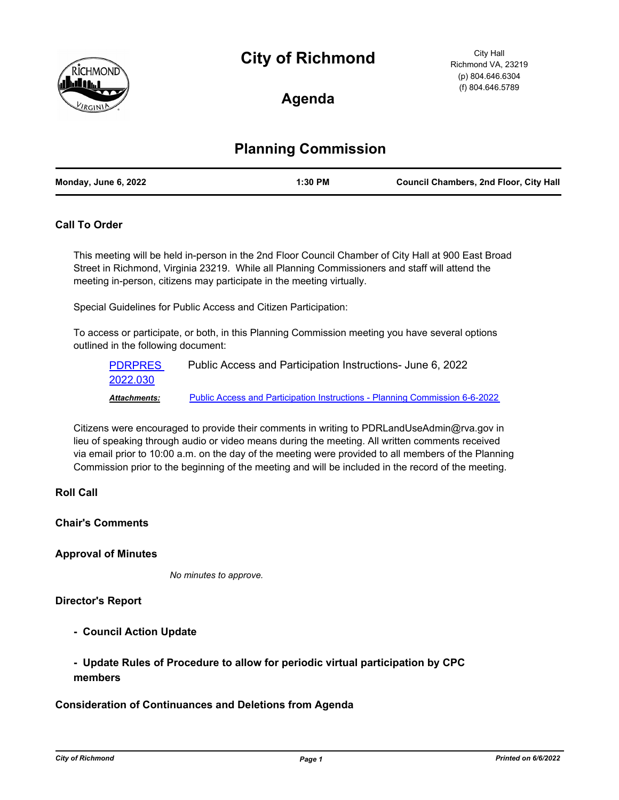# **City of Richmond**



City Hall Richmond VA, 23219 (p) 804.646.6304 (f) 804.646.5789

**Agenda**

## **Planning Commission**

| Monday, June 6, 2022 | 1:30 PM | <b>Council Chambers, 2nd Floor, City Hall</b> |
|----------------------|---------|-----------------------------------------------|
|                      |         |                                               |

## **Call To Order**

This meeting will be held in-person in the 2nd Floor Council Chamber of City Hall at 900 East Broad Street in Richmond, Virginia 23219. While all Planning Commissioners and staff will attend the meeting in-person, citizens may participate in the meeting virtually.

Special Guidelines for Public Access and Citizen Participation:

To access or participate, or both, in this Planning Commission meeting you have several options outlined in the following document:

[PDRPRES](http://richmondva.legistar.com/gateway.aspx?m=l&id=/matter.aspx?key=32252) Public Access and Participation Instructions- June 6, 2022 2022.030 *Attachments:* [Public Access and Participation Instructions - Planning Commission 6-6-2022](http://richmondva.legistar.com/gateway.aspx?M=F&ID=b7f792c7-1823-4b83-af02-85a29b61f613.pdf)

Citizens were encouraged to provide their comments in writing to PDRLandUseAdmin@rva.gov in lieu of speaking through audio or video means during the meeting. All written comments received via email prior to 10:00 a.m. on the day of the meeting were provided to all members of the Planning Commission prior to the beginning of the meeting and will be included in the record of the meeting.

### **Roll Call**

**Chair's Comments**

**Approval of Minutes**

*No minutes to approve.*

### **Director's Report**

**- Council Action Update**

## **- Update Rules of Procedure to allow for periodic virtual participation by CPC members**

### **Consideration of Continuances and Deletions from Agenda**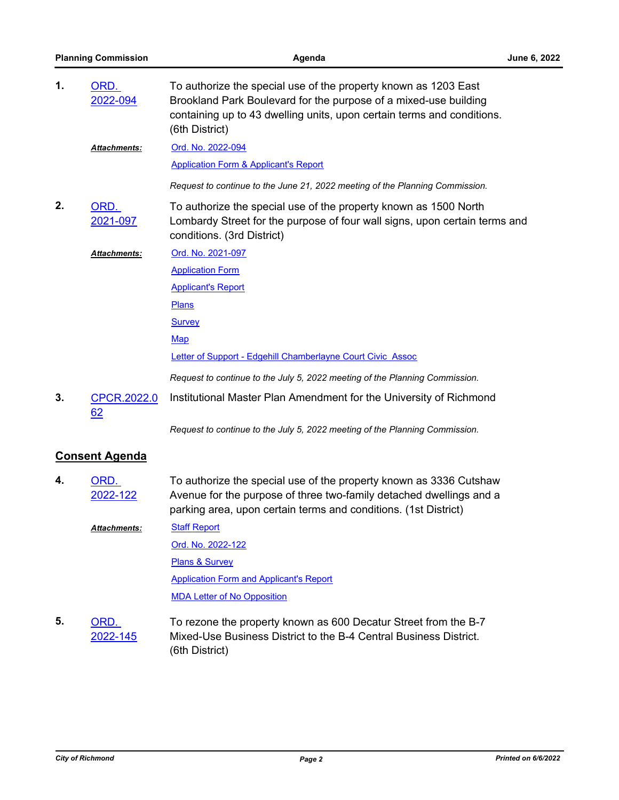| 1. | ORD.<br>2022-094      | To authorize the special use of the property known as 1203 East<br>Brookland Park Boulevard for the purpose of a mixed-use building<br>containing up to 43 dwelling units, upon certain terms and conditions.<br>(6th District) |
|----|-----------------------|---------------------------------------------------------------------------------------------------------------------------------------------------------------------------------------------------------------------------------|
|    | <b>Attachments:</b>   | Ord. No. 2022-094                                                                                                                                                                                                               |
|    |                       | <b>Application Form &amp; Applicant's Report</b>                                                                                                                                                                                |
|    |                       | Request to continue to the June 21, 2022 meeting of the Planning Commission.                                                                                                                                                    |
| 2. | ORD.<br>2021-097      | To authorize the special use of the property known as 1500 North<br>Lombardy Street for the purpose of four wall signs, upon certain terms and<br>conditions. (3rd District)                                                    |
|    | <b>Attachments:</b>   | Ord. No. 2021-097                                                                                                                                                                                                               |
|    |                       | <b>Application Form</b>                                                                                                                                                                                                         |
|    |                       | <b>Applicant's Report</b>                                                                                                                                                                                                       |
|    |                       | Plans                                                                                                                                                                                                                           |
|    |                       | <b>Survey</b>                                                                                                                                                                                                                   |
|    |                       | <b>Map</b>                                                                                                                                                                                                                      |
|    |                       | Letter of Support - Edgehill Chamberlayne Court Civic Assoc                                                                                                                                                                     |
|    |                       | Request to continue to the July 5, 2022 meeting of the Planning Commission.                                                                                                                                                     |
| 3. | CPCR.2022.0<br>62     | Institutional Master Plan Amendment for the University of Richmond                                                                                                                                                              |
|    |                       | Request to continue to the July 5, 2022 meeting of the Planning Commission.                                                                                                                                                     |
|    | <b>Consent Agenda</b> |                                                                                                                                                                                                                                 |
| 4. | ORD.<br>2022-122      | To authorize the special use of the property known as 3336 Cutshaw<br>Avenue for the purpose of three two-family detached dwellings and a<br>parking area, upon certain terms and conditions. (1st District)                    |

- **[Staff Report](http://richmondva.legistar.com/gateway.aspx?M=F&ID=67ec3d31-de58-4fb0-a7d0-87b200ac4b1a.pdf)** [Ord. No. 2022-122](http://richmondva.legistar.com/gateway.aspx?M=F&ID=60dc305d-13f1-4a23-a09c-cc2c1832ab8f.pdf) [Plans & Survey](http://richmondva.legistar.com/gateway.aspx?M=F&ID=4caf6e24-4139-4ab1-8fe8-14e581cee82f.pdf) [Application Form and Applicant's Report](http://richmondva.legistar.com/gateway.aspx?M=F&ID=97376e5a-0723-4386-ac4b-f6d1c9e7c74d.pdf) [MDA Letter of No Opposition](http://richmondva.legistar.com/gateway.aspx?M=F&ID=be64b6ae-3366-419e-a393-db3b17fe8666.pdf) *Attachments:*
- To rezone the property known as 600 Decatur Street from the B-7 Mixed-Use Business District to the B-4 Central Business District. (6th District) ORD. [2022-145](http://richmondva.legistar.com/gateway.aspx?m=l&id=/matter.aspx?key=31900) **5.**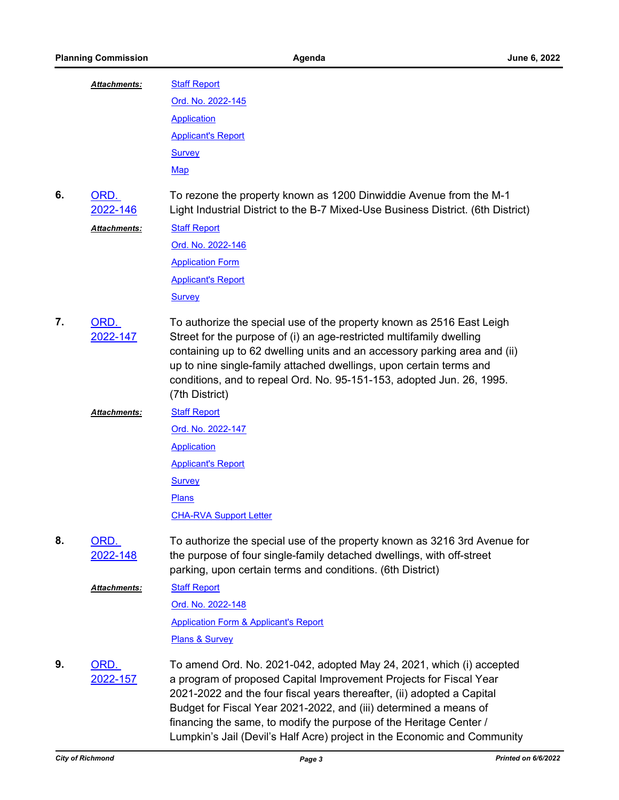| To rezone the property known as 1200 Dinwiddie Avenue from the M-1<br>Light Industrial District to the B-7 Mixed-Use Business District. (6th District)                                                                                                                                            |
|---------------------------------------------------------------------------------------------------------------------------------------------------------------------------------------------------------------------------------------------------------------------------------------------------|
|                                                                                                                                                                                                                                                                                                   |
|                                                                                                                                                                                                                                                                                                   |
|                                                                                                                                                                                                                                                                                                   |
|                                                                                                                                                                                                                                                                                                   |
|                                                                                                                                                                                                                                                                                                   |
| To authorize the special use of the property known as 2516 East Leigh<br>Street for the purpose of (i) an age-restricted multifamily dwelling<br>containing up to 62 dwelling units and an accessory parking area and (ii)<br>up to nine single-family attached dwellings, upon certain terms and |
| conditions, and to repeal Ord. No. 95-151-153, adopted Jun. 26, 1995.                                                                                                                                                                                                                             |
|                                                                                                                                                                                                                                                                                                   |
|                                                                                                                                                                                                                                                                                                   |
|                                                                                                                                                                                                                                                                                                   |
|                                                                                                                                                                                                                                                                                                   |
|                                                                                                                                                                                                                                                                                                   |
|                                                                                                                                                                                                                                                                                                   |
|                                                                                                                                                                                                                                                                                                   |
| To authorize the special use of the property known as 3216 3rd Avenue for<br>the purpose of four single-family detached dwellings, with off-street<br>parking, upon certain terms and conditions. (6th District)                                                                                  |
|                                                                                                                                                                                                                                                                                                   |
|                                                                                                                                                                                                                                                                                                   |
|                                                                                                                                                                                                                                                                                                   |
|                                                                                                                                                                                                                                                                                                   |
| To amend Ord. No. 2021-042, adopted May 24, 2021, which (i) accepted<br>a program of proposed Capital Improvement Projects for Fiscal Year<br>2021-2022 and the four fiscal years thereafter, (ii) adopted a Capital<br>Budget for Fiscal Year 2021-2022, and (iii) determined a means of         |
|                                                                                                                                                                                                                                                                                                   |